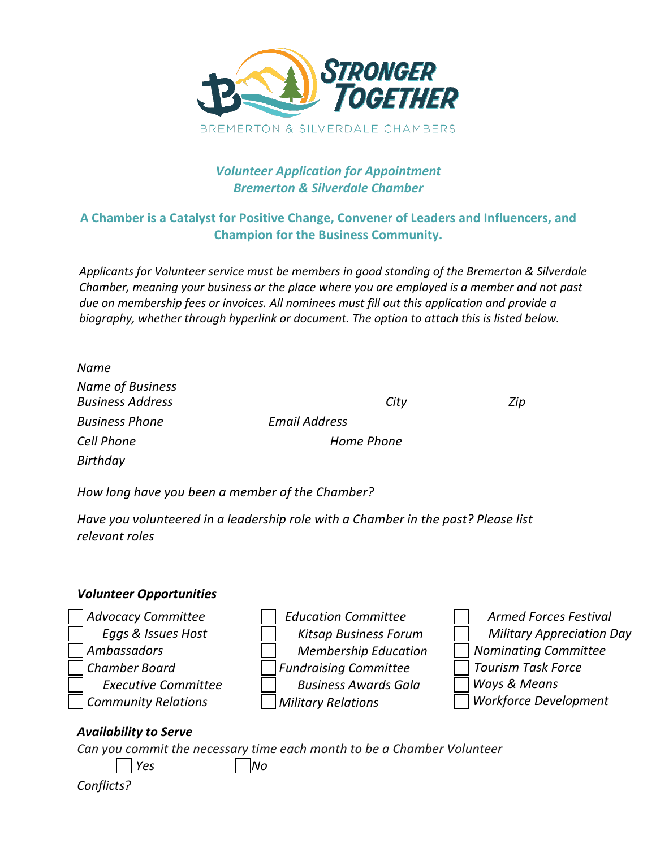

## *Volunteer Application for Appointment Bremerton & Silverdale Chamber*

## **A Chamber is a Catalyst for Positive Change, Convener of Leaders and Influencers, and Champion for the Business Community.**

*Applicants for Volunteer service must be members in good standing of the Bremerton & Silverdale Chamber, meaning your business or the place where you are employed is a member and not past due on membership fees or invoices. All nominees must fill out this application and provide a biography, whether through hyperlink or document. The option to attach this is listed below.*

| Name                                               |                      |     |
|----------------------------------------------------|----------------------|-----|
| <b>Name of Business</b><br><b>Business Address</b> |                      |     |
|                                                    | City                 | Zip |
| <b>Business Phone</b>                              | <b>Email Address</b> |     |
| <b>Cell Phone</b>                                  | Home Phone           |     |
| Birthday                                           |                      |     |

*How long have you been a member of the Chamber?* 

*Have you volunteered in a leadership role with a Chamber in the past? Please list relevant roles* 

## *Volunteer Opportunities*



*Conflicts?*